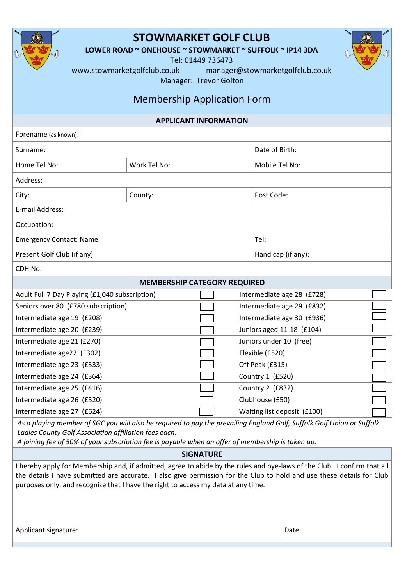| <b>STOWMARKET GOLF CLUB</b><br>LOWER ROAD ~ ONEHOUSE ~ STOWMARKET ~ SUFFOLK ~ IP14 3DA<br>Tel: 01449 736473<br>www.stowmarketgolfclub.co.uk<br>manager@stowmarketgolfclub.co.uk<br>Manager: Trevor Golton<br><b>Membership Application Form</b>                                                                                                                                                                                                                                                                                                                                                                                                    |              |  |                             |  |
|----------------------------------------------------------------------------------------------------------------------------------------------------------------------------------------------------------------------------------------------------------------------------------------------------------------------------------------------------------------------------------------------------------------------------------------------------------------------------------------------------------------------------------------------------------------------------------------------------------------------------------------------------|--------------|--|-----------------------------|--|
| <b>APPLICANT INFORMATION</b>                                                                                                                                                                                                                                                                                                                                                                                                                                                                                                                                                                                                                       |              |  |                             |  |
| Forename (as known):                                                                                                                                                                                                                                                                                                                                                                                                                                                                                                                                                                                                                               |              |  |                             |  |
| Surname:                                                                                                                                                                                                                                                                                                                                                                                                                                                                                                                                                                                                                                           |              |  | Date of Birth:              |  |
| Home Tel No:                                                                                                                                                                                                                                                                                                                                                                                                                                                                                                                                                                                                                                       | Work Tel No: |  | Mobile Tel No:              |  |
| Address:                                                                                                                                                                                                                                                                                                                                                                                                                                                                                                                                                                                                                                           |              |  |                             |  |
| City:                                                                                                                                                                                                                                                                                                                                                                                                                                                                                                                                                                                                                                              | County:      |  | Post Code:                  |  |
| E-mail Address:                                                                                                                                                                                                                                                                                                                                                                                                                                                                                                                                                                                                                                    |              |  |                             |  |
| Occupation:                                                                                                                                                                                                                                                                                                                                                                                                                                                                                                                                                                                                                                        |              |  |                             |  |
| <b>Emergency Contact: Name</b>                                                                                                                                                                                                                                                                                                                                                                                                                                                                                                                                                                                                                     |              |  | Tel:                        |  |
| Present Golf Club (if any):                                                                                                                                                                                                                                                                                                                                                                                                                                                                                                                                                                                                                        |              |  | Handicap (if any):          |  |
| <b>CDH No:</b>                                                                                                                                                                                                                                                                                                                                                                                                                                                                                                                                                                                                                                     |              |  |                             |  |
| <b>MEMBERSHIP CATEGORY REQUIRED</b>                                                                                                                                                                                                                                                                                                                                                                                                                                                                                                                                                                                                                |              |  |                             |  |
| Adult Full 7 Day Playing (£1,040 subscription)<br>Intermediate age 28 (£728)                                                                                                                                                                                                                                                                                                                                                                                                                                                                                                                                                                       |              |  |                             |  |
| Seniors over 80 (£780 subscription)                                                                                                                                                                                                                                                                                                                                                                                                                                                                                                                                                                                                                |              |  | Intermediate age 29 (£832)  |  |
| Intermediate age 19 (£208)                                                                                                                                                                                                                                                                                                                                                                                                                                                                                                                                                                                                                         |              |  | Intermediate age 30 (£936)  |  |
| Intermediate age 20 (£239)                                                                                                                                                                                                                                                                                                                                                                                                                                                                                                                                                                                                                         |              |  | Juniors aged 11-18 (£104)   |  |
| Intermediate age 21 (£270)                                                                                                                                                                                                                                                                                                                                                                                                                                                                                                                                                                                                                         |              |  | Juniors under 10 (free)     |  |
| Intermediate age22 (£302)                                                                                                                                                                                                                                                                                                                                                                                                                                                                                                                                                                                                                          |              |  | Flexible (£520)             |  |
| Intermediate age 23 (£333)                                                                                                                                                                                                                                                                                                                                                                                                                                                                                                                                                                                                                         |              |  | Off Peak (£315)             |  |
| Intermediate age 24 (£364)                                                                                                                                                                                                                                                                                                                                                                                                                                                                                                                                                                                                                         |              |  | Country 1 (£520)            |  |
| Intermediate age 25 (£416)                                                                                                                                                                                                                                                                                                                                                                                                                                                                                                                                                                                                                         |              |  | Country 2 (£832)            |  |
| Intermediate age 26 (£520)                                                                                                                                                                                                                                                                                                                                                                                                                                                                                                                                                                                                                         |              |  | Clubhouse (£50)             |  |
| Intermediate age 27 (£624)                                                                                                                                                                                                                                                                                                                                                                                                                                                                                                                                                                                                                         |              |  | Waiting list deposit (£100) |  |
| As a playing member of SGC you will also be required to pay the prevailing England Golf, Suffolk Golf Union or Suffolk<br>Ladies County Golf Association affiliation fees each.<br>A joining fee of 50% of your subscription fee is payable when an offer of membership is taken up.<br><b>SIGNATURE</b><br>I hereby apply for Membership and, if admitted, agree to abide by the rules and bye-laws of the Club. I confirm that all<br>the details I have submitted are accurate. I also give permission for the Club to hold and use these details for Club<br>purposes only, and recognize that I have the right to access my data at any time. |              |  |                             |  |
| Applicant signature:                                                                                                                                                                                                                                                                                                                                                                                                                                                                                                                                                                                                                               |              |  | Date:                       |  |

Г